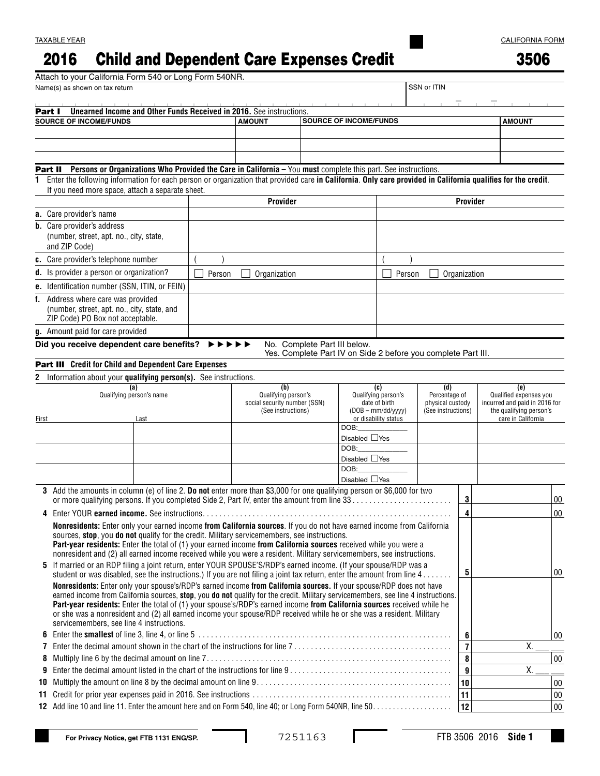## 2016 Child and Dependent Care Expenses Credit

| I |
|---|
|---|

|                          | Attach to your California Form 540 or Long Form 540NR.                                                                                                                                                                                                    |  |                                                     |          |                    |                                      |                                                                                               |                     |               |                                        |                |                        |                                                          |        |
|--------------------------|-----------------------------------------------------------------------------------------------------------------------------------------------------------------------------------------------------------------------------------------------------------|--|-----------------------------------------------------|----------|--------------------|--------------------------------------|-----------------------------------------------------------------------------------------------|---------------------|---------------|----------------------------------------|----------------|------------------------|----------------------------------------------------------|--------|
|                          | Name(s) as shown on tax return                                                                                                                                                                                                                            |  |                                                     |          |                    |                                      |                                                                                               |                     |               | SSN or ITIN                            |                |                        |                                                          |        |
| Part I                   | Unearned Income and Other Funds Received in 2016. See instructions.                                                                                                                                                                                       |  |                                                     |          |                    |                                      |                                                                                               |                     |               |                                        |                |                        |                                                          |        |
|                          | <b>SOURCE OF INCOME/FUNDS</b>                                                                                                                                                                                                                             |  |                                                     |          | <b>AMOUNT</b>      |                                      | <b>SOURCE OF INCOME/FUNDS</b>                                                                 |                     |               |                                        |                |                        | <b>AMOUNT</b>                                            |        |
|                          |                                                                                                                                                                                                                                                           |  |                                                     |          |                    |                                      |                                                                                               |                     |               |                                        |                |                        |                                                          |        |
|                          |                                                                                                                                                                                                                                                           |  |                                                     |          |                    |                                      |                                                                                               |                     |               |                                        |                |                        |                                                          |        |
|                          |                                                                                                                                                                                                                                                           |  |                                                     |          |                    |                                      |                                                                                               |                     |               |                                        |                |                        |                                                          |        |
|                          | Part II Persons or Organizations Who Provided the Care in California - You must complete this part. See instructions.                                                                                                                                     |  |                                                     |          |                    |                                      |                                                                                               |                     |               |                                        |                |                        |                                                          |        |
| 1                        | Enter the following information for each person or organization that provided care in California. Only care provided in California qualifies for the credit.                                                                                              |  |                                                     |          |                    |                                      |                                                                                               |                     |               |                                        |                |                        |                                                          |        |
|                          | If you need more space, attach a separate sheet.                                                                                                                                                                                                          |  |                                                     |          |                    |                                      |                                                                                               |                     |               |                                        | Provider       |                        |                                                          |        |
|                          |                                                                                                                                                                                                                                                           |  |                                                     | Provider |                    |                                      |                                                                                               |                     |               |                                        |                |                        |                                                          |        |
|                          | a. Care provider's name                                                                                                                                                                                                                                   |  |                                                     |          |                    |                                      |                                                                                               |                     |               |                                        |                |                        |                                                          |        |
|                          | <b>b.</b> Care provider's address                                                                                                                                                                                                                         |  |                                                     |          |                    |                                      |                                                                                               |                     |               |                                        |                |                        |                                                          |        |
|                          | (number, street, apt. no., city, state,<br>and ZIP Code)                                                                                                                                                                                                  |  |                                                     |          |                    |                                      |                                                                                               |                     |               |                                        |                |                        |                                                          |        |
|                          |                                                                                                                                                                                                                                                           |  |                                                     |          |                    |                                      |                                                                                               |                     |               |                                        |                |                        |                                                          |        |
|                          | c. Care provider's telephone number                                                                                                                                                                                                                       |  |                                                     |          |                    |                                      |                                                                                               |                     |               |                                        |                |                        |                                                          |        |
|                          | d. Is provider a person or organization?                                                                                                                                                                                                                  |  | Person                                              |          | Organization       |                                      |                                                                                               |                     | Person        |                                        | Organization   |                        |                                                          |        |
|                          | e. Identification number (SSN, ITIN, or FEIN)                                                                                                                                                                                                             |  |                                                     |          |                    |                                      |                                                                                               |                     |               |                                        |                |                        |                                                          |        |
|                          | f. Address where care was provided                                                                                                                                                                                                                        |  |                                                     |          |                    |                                      |                                                                                               |                     |               |                                        |                |                        |                                                          |        |
|                          | (number, street, apt. no., city, state, and<br>ZIP Code) PO Box not acceptable.                                                                                                                                                                           |  |                                                     |          |                    |                                      |                                                                                               |                     |               |                                        |                |                        |                                                          |        |
|                          |                                                                                                                                                                                                                                                           |  |                                                     |          |                    |                                      |                                                                                               |                     |               |                                        |                |                        |                                                          |        |
|                          | g. Amount paid for care provided                                                                                                                                                                                                                          |  |                                                     |          |                    |                                      |                                                                                               |                     |               |                                        |                |                        |                                                          |        |
|                          | Did you receive dependent care benefits? $\blacktriangleright\blacktriangleright$                                                                                                                                                                         |  |                                                     |          |                    |                                      | No. Complete Part III below.<br>Yes. Complete Part IV on Side 2 before you complete Part III. |                     |               |                                        |                |                        |                                                          |        |
|                          | Part III Credit for Child and Dependent Care Expenses                                                                                                                                                                                                     |  |                                                     |          |                    |                                      |                                                                                               |                     |               |                                        |                |                        |                                                          |        |
| 2                        | Information about your qualifying person(s). See instructions.                                                                                                                                                                                            |  |                                                     |          |                    |                                      |                                                                                               |                     |               |                                        |                |                        |                                                          |        |
|                          | (a)                                                                                                                                                                                                                                                       |  |                                                     |          | (b)                |                                      |                                                                                               | (c)                 |               | (d)                                    |                |                        | (e)                                                      |        |
| Qualifying person's name |                                                                                                                                                                                                                                                           |  | Qualifying person's<br>social security number (SSN) |          |                    | Qualifying person's<br>date of birth |                                                                                               |                     | Percentage of |                                        |                | Qualified expenses you |                                                          |        |
|                          |                                                                                                                                                                                                                                                           |  |                                                     |          | (See instructions) |                                      |                                                                                               | $(DOB - mm/dd/yyy)$ |               | physical custody<br>(See instructions) |                |                        | incurred and paid in 2016 for<br>the qualifying person's |        |
| First                    | Last                                                                                                                                                                                                                                                      |  |                                                     |          |                    |                                      | or disability status                                                                          |                     |               |                                        |                |                        | care in California                                       |        |
|                          |                                                                                                                                                                                                                                                           |  |                                                     |          |                    | DOB:<br>Disabled $\Box$ Yes          |                                                                                               |                     |               |                                        |                |                        |                                                          |        |
|                          |                                                                                                                                                                                                                                                           |  |                                                     |          |                    |                                      | DOB:                                                                                          |                     |               |                                        |                |                        |                                                          |        |
|                          |                                                                                                                                                                                                                                                           |  |                                                     |          |                    |                                      | Disabled $\Box$ Yes                                                                           |                     |               |                                        |                |                        |                                                          |        |
|                          |                                                                                                                                                                                                                                                           |  |                                                     |          |                    |                                      | DOB:                                                                                          |                     |               |                                        |                |                        |                                                          |        |
|                          |                                                                                                                                                                                                                                                           |  |                                                     |          |                    |                                      | Disabled $\Box$ Yes                                                                           |                     |               |                                        |                |                        |                                                          |        |
|                          | 3 Add the amounts in column (e) of line 2. Do not enter more than \$3,000 for one qualifying person or \$6,000 for two                                                                                                                                    |  |                                                     |          |                    |                                      |                                                                                               |                     |               |                                        | 3              |                        |                                                          | 00     |
|                          |                                                                                                                                                                                                                                                           |  |                                                     |          |                    |                                      |                                                                                               |                     |               |                                        |                |                        |                                                          |        |
| 4                        |                                                                                                                                                                                                                                                           |  |                                                     |          |                    |                                      |                                                                                               |                     |               |                                        | 4              |                        |                                                          | 00     |
|                          | Nonresidents: Enter only your earned income from California sources. If you do not have earned income from California<br>sources, stop, you do not qualify for the credit. Military servicemembers, see instructions.                                     |  |                                                     |          |                    |                                      |                                                                                               |                     |               |                                        |                |                        |                                                          |        |
|                          | Part-year residents: Enter the total of (1) your earned income from California sources received while you were a                                                                                                                                          |  |                                                     |          |                    |                                      |                                                                                               |                     |               |                                        |                |                        |                                                          |        |
|                          | nonresident and (2) all earned income received while you were a resident. Military servicemembers, see instructions.                                                                                                                                      |  |                                                     |          |                    |                                      |                                                                                               |                     |               |                                        |                |                        |                                                          |        |
|                          | 5 If married or an RDP filing a joint return, enter YOUR SPOUSE'S/RDP's earned income. (If your spouse/RDP was a                                                                                                                                          |  |                                                     |          |                    |                                      |                                                                                               |                     |               |                                        | 5              |                        |                                                          | 00     |
|                          | student or was disabled, see the instructions.) If you are not filing a joint tax return, enter the amount from line 4                                                                                                                                    |  |                                                     |          |                    |                                      |                                                                                               |                     |               |                                        |                |                        |                                                          |        |
|                          | Nonresidents: Enter only your spouse's/RDP's earned income from California sources. If your spouse/RDP does not have<br>earned income from California sources, stop, you do not qualify for the credit. Military servicemembers, see line 4 instructions. |  |                                                     |          |                    |                                      |                                                                                               |                     |               |                                        |                |                        |                                                          |        |
|                          | Part-year residents: Enter the total of (1) your spouse's/RDP's earned income from California sources received while he                                                                                                                                   |  |                                                     |          |                    |                                      |                                                                                               |                     |               |                                        |                |                        |                                                          |        |
|                          | or she was a nonresident and (2) all earned income your spouse/RDP received while he or she was a resident. Military                                                                                                                                      |  |                                                     |          |                    |                                      |                                                                                               |                     |               |                                        |                |                        |                                                          |        |
|                          | servicemembers, see line 4 instructions.                                                                                                                                                                                                                  |  |                                                     |          |                    |                                      |                                                                                               |                     |               |                                        |                |                        |                                                          |        |
| 6                        |                                                                                                                                                                                                                                                           |  |                                                     |          |                    |                                      |                                                                                               |                     |               |                                        | 6              |                        |                                                          | 00     |
| 7                        |                                                                                                                                                                                                                                                           |  |                                                     |          |                    |                                      |                                                                                               |                     |               |                                        | $\overline{1}$ |                        | Χ.                                                       |        |
| 8                        |                                                                                                                                                                                                                                                           |  |                                                     |          |                    |                                      |                                                                                               |                     |               |                                        | 8              |                        |                                                          | 00     |
| 9                        |                                                                                                                                                                                                                                                           |  |                                                     |          |                    |                                      |                                                                                               |                     |               |                                        | 9              |                        | Χ.                                                       |        |
| 10                       |                                                                                                                                                                                                                                                           |  |                                                     |          |                    |                                      |                                                                                               |                     |               |                                        | 10             |                        |                                                          | $00\,$ |
| 11                       |                                                                                                                                                                                                                                                           |  |                                                     |          |                    |                                      |                                                                                               |                     |               |                                        | 11             |                        |                                                          | 00     |
|                          |                                                                                                                                                                                                                                                           |  |                                                     |          |                    |                                      |                                                                                               |                     |               |                                        | 12             |                        |                                                          | $00\,$ |